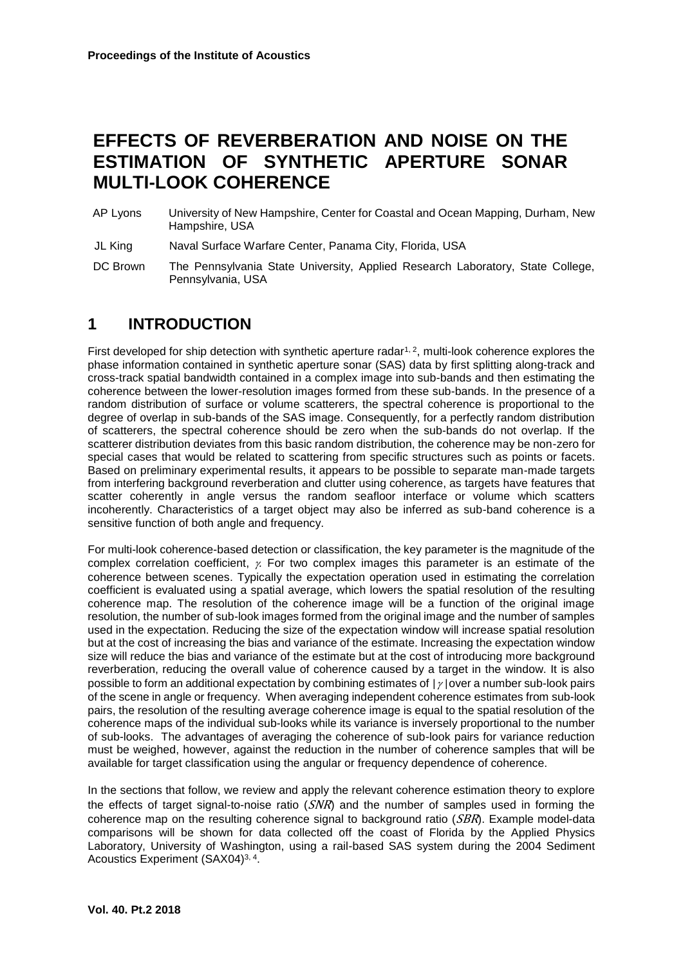# **EFFECTS OF REVERBERATION AND NOISE ON THE ESTIMATION OF SYNTHETIC APERTURE SONAR MULTI-LOOK COHERENCE**

AP Lyons University of New Hampshire, Center for Coastal and Ocean Mapping, Durham, New Hampshire, USA

JL King Naval Surface Warfare Center, Panama City, Florida, USA

DC Brown The Pennsylvania State University, Applied Research Laboratory, State College, Pennsylvania, USA

## **1 INTRODUCTION**

First developed for ship detection with synthetic aperture radar<sup>1, 2</sup>, multi-look coherence explores the phase information contained in synthetic aperture sonar (SAS) data by first splitting along-track and cross-track spatial bandwidth contained in a complex image into sub-bands and then estimating the coherence between the lower-resolution images formed from these sub-bands. In the presence of a random distribution of surface or volume scatterers, the spectral coherence is proportional to the degree of overlap in sub-bands of the SAS image. Consequently, for a perfectly random distribution of scatterers, the spectral coherence should be zero when the sub-bands do not overlap. If the scatterer distribution deviates from this basic random distribution, the coherence may be non-zero for special cases that would be related to scattering from specific structures such as points or facets. Based on preliminary experimental results, it appears to be possible to separate man-made targets from interfering background reverberation and clutter using coherence, as targets have features that scatter coherently in angle versus the random seafloor interface or volume which scatters incoherently. Characteristics of a target object may also be inferred as sub-band coherence is a sensitive function of both angle and frequency.

For multi-look coherence-based detection or classification, the key parameter is the magnitude of the complex correlation coefficient,  $\chi$ . For two complex images this parameter is an estimate of the coherence between scenes. Typically the expectation operation used in estimating the correlation coefficient is evaluated using a spatial average, which lowers the spatial resolution of the resulting coherence map. The resolution of the coherence image will be a function of the original image resolution, the number of sub-look images formed from the original image and the number of samples used in the expectation. Reducing the size of the expectation window will increase spatial resolution but at the cost of increasing the bias and variance of the estimate. Increasing the expectation window size will reduce the bias and variance of the estimate but at the cost of introducing more background reverberation, reducing the overall value of coherence caused by a target in the window. It is also possible to form an additional expectation by combining estimates of  $|y|$  over a number sub-look pairs of the scene in angle or frequency. When averaging independent coherence estimates from sub-look pairs, the resolution of the resulting average coherence image is equal to the spatial resolution of the coherence maps of the individual sub-looks while its variance is inversely proportional to the number of sub-looks. The advantages of averaging the coherence of sub-look pairs for variance reduction must be weighed, however, against the reduction in the number of coherence samples that will be available for target classification using the angular or frequency dependence of coherence.

In the sections that follow, we review and apply the relevant coherence estimation theory to explore the effects of target signal-to-noise ratio  $(SNR)$  and the number of samples used in forming the coherence map on the resulting coherence signal to background ratio  $(SBR)$ . Example model-data comparisons will be shown for data collected off the coast of Florida by the Applied Physics Laboratory, University of Washington, using a rail-based SAS system during the 2004 Sediment Acoustics Experiment (SAX04)<sup>3, 4</sup>.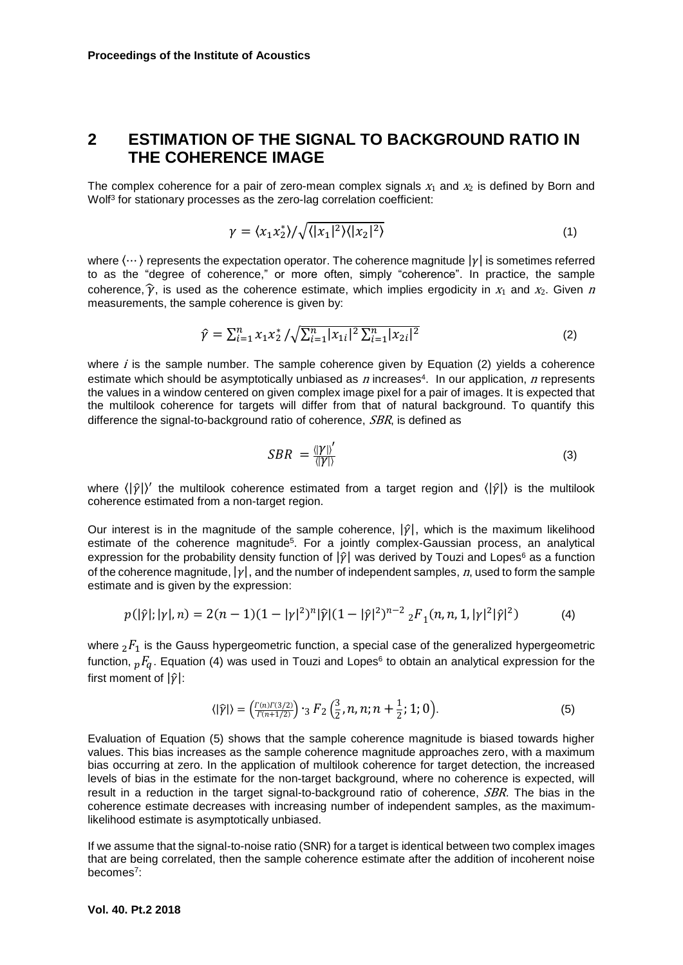### **2 ESTIMATION OF THE SIGNAL TO BACKGROUND RATIO IN THE COHERENCE IMAGE**

The complex coherence for a pair of zero-mean complex signals  $x_1$  and  $x_2$  is defined by Born and Wolf<sup>3</sup> for stationary processes as the zero-lag correlation coefficient:

$$
\gamma = \langle x_1 x_2^* \rangle / \sqrt{\langle |x_1|^2 \rangle \langle |x_2|^2 \rangle} \tag{1}
$$

where  $\langle \cdots \rangle$  represents the expectation operator. The coherence magnitude  $|\gamma|$  is sometimes referred to as the "degree of coherence," or more often, simply "coherence". In practice, the sample coherence,  $\hat{\gamma}$ , is used as the coherence estimate, which implies ergodicity in  $x_1$  and  $x_2$ . Given n measurements, the sample coherence is given by:

$$
\hat{\gamma} = \sum_{i=1}^{n} x_1 x_2^* / \sqrt{\sum_{i=1}^{n} |x_{1i}|^2 \sum_{i=1}^{n} |x_{2i}|^2}
$$
(2)

where  $i$  is the sample number. The sample coherence given by Equation (2) yields a coherence estimate which should be asymptotically unbiased as  $n$  increases<sup>4</sup>. In our application,  $n$  represents the values in a window centered on given complex image pixel for a pair of images. It is expected that the multilook coherence for targets will differ from that of natural background. To quantify this difference the signal-to-background ratio of coherence, SBR, is defined as

$$
SBR = \frac{\langle |Y| \rangle'}{\langle |Y| \rangle} \tag{3}
$$

where  $\langle |\hat{y}| \rangle'$  the multilook coherence estimated from a target region and  $\langle |\hat{y}| \rangle$  is the multilook coherence estimated from a non-target region.

Our interest is in the magnitude of the sample coherence,  $|\hat{\gamma}|$ , which is the maximum likelihood estimate of the coherence magnitude<sup>5</sup>. For a jointly complex-Gaussian process, an analytical expression for the probability density function of  $|\hat{y}|$  was derived by Touzi and Lopes<sup>6</sup> as a function of the coherence magnitude,  $|\gamma|$ , and the number of independent samples, n, used to form the sample estimate and is given by the expression:

$$
p(|\hat{\gamma}|; |\gamma|, n) = 2(n-1)(1-|\gamma|^2)^n |\hat{\gamma}| (1-|\hat{\gamma}|^2)^{n-2} {}_{2}F_1(n, n, 1, |\gamma|^2 |\hat{\gamma}|^2)
$$
(4)

where  ${}_2F_1$  is the Gauss hypergeometric function, a special case of the generalized hypergeometric function,  ${}_{p}F_{q}$ . Equation (4) was used in Touzi and Lopes $^{\rm 6}$  to obtain an analytical expression for the first moment of  $|\hat{\gamma}|$ :

$$
\langle |\hat{\gamma}| \rangle = \left( \frac{\Gamma(n) \Gamma(3/2)}{\Gamma(n+1/2)} \right) \cdot_3 F_2 \left( \frac{3}{2}, n, n; n + \frac{1}{2}; 1; 0 \right). \tag{5}
$$

Evaluation of Equation (5) shows that the sample coherence magnitude is biased towards higher values. This bias increases as the sample coherence magnitude approaches zero, with a maximum bias occurring at zero. In the application of multilook coherence for target detection, the increased levels of bias in the estimate for the non-target background, where no coherence is expected, will result in a reduction in the target signal-to-background ratio of coherence, SBR. The bias in the coherence estimate decreases with increasing number of independent samples, as the maximumlikelihood estimate is asymptotically unbiased.

If we assume that the signal-to-noise ratio (SNR) for a target is identical between two complex images that are being correlated, then the sample coherence estimate after the addition of incoherent noise becomes<sup>7</sup> :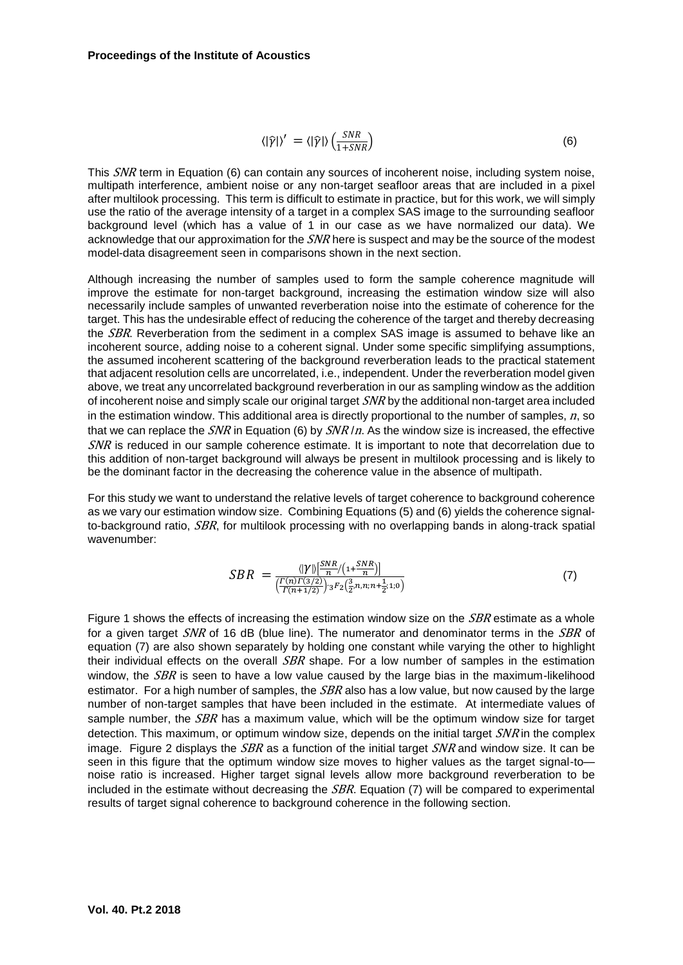$$
\langle |\hat{\gamma}| \rangle' = \langle |\hat{\gamma}| \rangle \left( \frac{SNR}{1+SNR} \right) \tag{6}
$$

This SNR term in Equation (6) can contain any sources of incoherent noise, including system noise, multipath interference, ambient noise or any non-target seafloor areas that are included in a pixel after multilook processing. This term is difficult to estimate in practice, but for this work, we will simply use the ratio of the average intensity of a target in a complex SAS image to the surrounding seafloor background level (which has a value of 1 in our case as we have normalized our data). We acknowledge that our approximation for the SNR here is suspect and may be the source of the modest model-data disagreement seen in comparisons shown in the next section.

Although increasing the number of samples used to form the sample coherence magnitude will improve the estimate for non-target background, increasing the estimation window size will also necessarily include samples of unwanted reverberation noise into the estimate of coherence for the target. This has the undesirable effect of reducing the coherence of the target and thereby decreasing the *SBR*. Reverberation from the sediment in a complex SAS image is assumed to behave like an incoherent source, adding noise to a coherent signal. Under some specific simplifying assumptions, the assumed incoherent scattering of the background reverberation leads to the practical statement that adjacent resolution cells are uncorrelated, i.e., independent. Under the reverberation model given above, we treat any uncorrelated background reverberation in our as sampling window as the addition of incoherent noise and simply scale our original target SNR by the additional non-target area included in the estimation window. This additional area is directly proportional to the number of samples,  $n$ , so that we can replace the  $SNR$  in Equation (6) by  $SNR/n$ . As the window size is increased, the effective SNR is reduced in our sample coherence estimate. It is important to note that decorrelation due to this addition of non-target background will always be present in multilook processing and is likely to be the dominant factor in the decreasing the coherence value in the absence of multipath.

For this study we want to understand the relative levels of target coherence to background coherence as we vary our estimation window size. Combining Equations (5) and (6) yields the coherence signalto-background ratio, SBR, for multilook processing with no overlapping bands in along-track spatial wavenumber:

$$
SBR = \frac{\langle |\gamma| \rangle \left[\frac{SNR}{n} / \left(1 + \frac{SNR}{n}\right)\right]}{\left(\frac{\Gamma(n)\Gamma(3/2)}{\Gamma(n+1/2)}\right) \cdot {}_3F_2\left(\frac{3}{2}n, n; n + \frac{1}{2}; 1; 0\right)}\tag{7}
$$

Figure 1 shows the effects of increasing the estimation window size on the *SBR* estimate as a whole for a given target SNR of 16 dB (blue line). The numerator and denominator terms in the SBR of equation (7) are also shown separately by holding one constant while varying the other to highlight their individual effects on the overall  $SBR$  shape. For a low number of samples in the estimation window, the  $SBR$  is seen to have a low value caused by the large bias in the maximum-likelihood estimator. For a high number of samples, the  $SBR$  also has a low value, but now caused by the large number of non-target samples that have been included in the estimate. At intermediate values of sample number, the SBR has a maximum value, which will be the optimum window size for target detection. This maximum, or optimum window size, depends on the initial target  $SNR$  in the complex image. Figure 2 displays the  $SBR$  as a function of the initial target  $SNR$  and window size. It can be seen in this figure that the optimum window size moves to higher values as the target signal-to noise ratio is increased. Higher target signal levels allow more background reverberation to be included in the estimate without decreasing the  $SBR$ . Equation (7) will be compared to experimental results of target signal coherence to background coherence in the following section.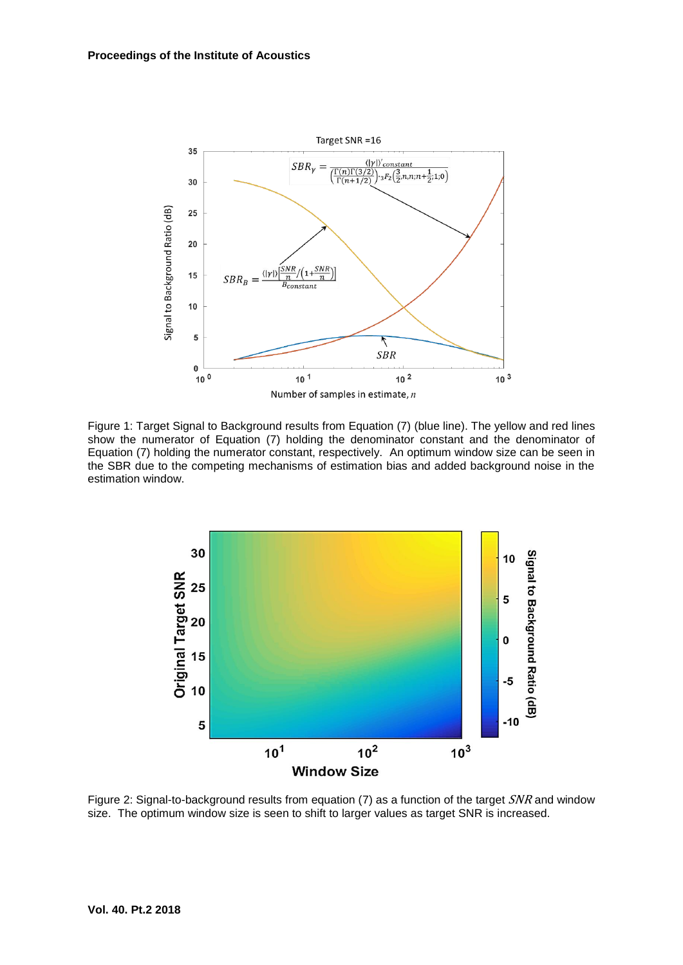

Figure 1: Target Signal to Background results from Equation (7) (blue line). The yellow and red lines show the numerator of Equation (7) holding the denominator constant and the denominator of Equation (7) holding the numerator constant, respectively. An optimum window size can be seen in the SBR due to the competing mechanisms of estimation bias and added background noise in the estimation window.



Figure 2: Signal-to-background results from equation (7) as a function of the target SNR and window size. The optimum window size is seen to shift to larger values as target SNR is increased.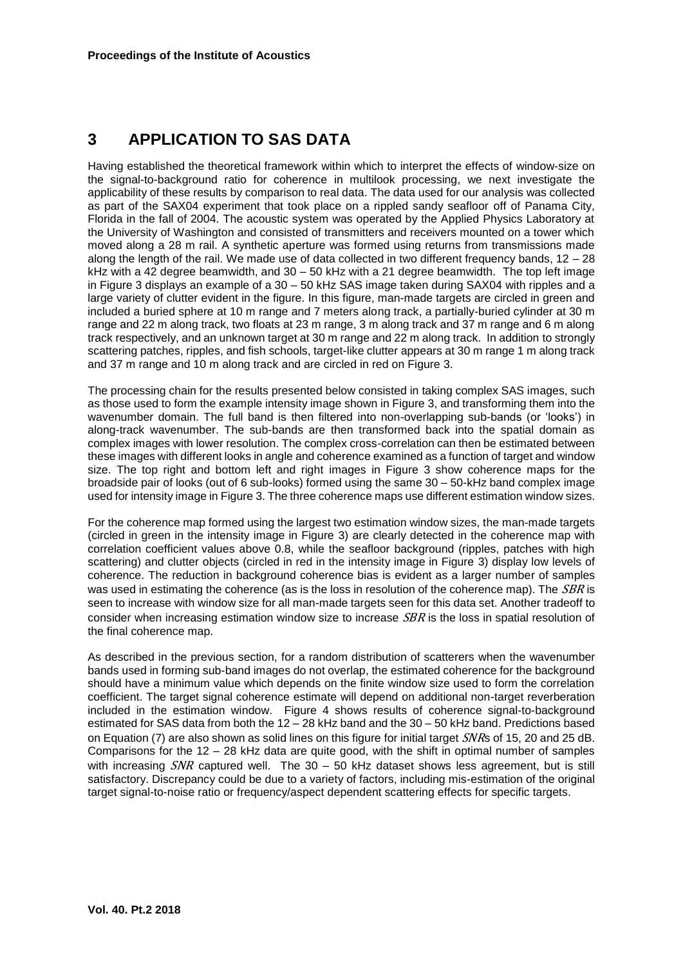# **3 APPLICATION TO SAS DATA**

Having established the theoretical framework within which to interpret the effects of window-size on the signal-to-background ratio for coherence in multilook processing, we next investigate the applicability of these results by comparison to real data. The data used for our analysis was collected as part of the SAX04 experiment that took place on a rippled sandy seafloor off of Panama City, Florida in the fall of 2004. The acoustic system was operated by the Applied Physics Laboratory at the University of Washington and consisted of transmitters and receivers mounted on a tower which moved along a 28 m rail. A synthetic aperture was formed using returns from transmissions made along the length of the rail. We made use of data collected in two different frequency bands, 12 – 28 kHz with a 42 degree beamwidth, and 30 – 50 kHz with a 21 degree beamwidth. The top left image in Figure 3 displays an example of a 30 – 50 kHz SAS image taken during SAX04 with ripples and a large variety of clutter evident in the figure. In this figure, man-made targets are circled in green and included a buried sphere at 10 m range and 7 meters along track, a partially-buried cylinder at 30 m range and 22 m along track, two floats at 23 m range, 3 m along track and 37 m range and 6 m along track respectively, and an unknown target at 30 m range and 22 m along track. In addition to strongly scattering patches, ripples, and fish schools, target-like clutter appears at 30 m range 1 m along track and 37 m range and 10 m along track and are circled in red on Figure 3.

The processing chain for the results presented below consisted in taking complex SAS images, such as those used to form the example intensity image shown in Figure 3, and transforming them into the wavenumber domain. The full band is then filtered into non-overlapping sub-bands (or 'looks') in along-track wavenumber. The sub-bands are then transformed back into the spatial domain as complex images with lower resolution. The complex cross-correlation can then be estimated between these images with different looks in angle and coherence examined as a function of target and window size. The top right and bottom left and right images in Figure 3 show coherence maps for the broadside pair of looks (out of 6 sub-looks) formed using the same 30 – 50-kHz band complex image used for intensity image in Figure 3. The three coherence maps use different estimation window sizes.

For the coherence map formed using the largest two estimation window sizes, the man-made targets (circled in green in the intensity image in Figure 3) are clearly detected in the coherence map with correlation coefficient values above 0.8, while the seafloor background (ripples, patches with high scattering) and clutter objects (circled in red in the intensity image in Figure 3) display low levels of coherence. The reduction in background coherence bias is evident as a larger number of samples was used in estimating the coherence (as is the loss in resolution of the coherence map). The SBR is seen to increase with window size for all man-made targets seen for this data set. Another tradeoff to consider when increasing estimation window size to increase *SBR* is the loss in spatial resolution of the final coherence map.

As described in the previous section, for a random distribution of scatterers when the wavenumber bands used in forming sub-band images do not overlap, the estimated coherence for the background should have a minimum value which depends on the finite window size used to form the correlation coefficient. The target signal coherence estimate will depend on additional non-target reverberation included in the estimation window. Figure 4 shows results of coherence signal-to-background estimated for SAS data from both the 12 – 28 kHz band and the 30 – 50 kHz band. Predictions based on Equation (7) are also shown as solid lines on this figure for initial target SNRs of 15, 20 and 25 dB. Comparisons for the 12 – 28 kHz data are quite good, with the shift in optimal number of samples with increasing  $SNR$  captured well. The 30 – 50 kHz dataset shows less agreement, but is still satisfactory. Discrepancy could be due to a variety of factors, including mis-estimation of the original target signal-to-noise ratio or frequency/aspect dependent scattering effects for specific targets.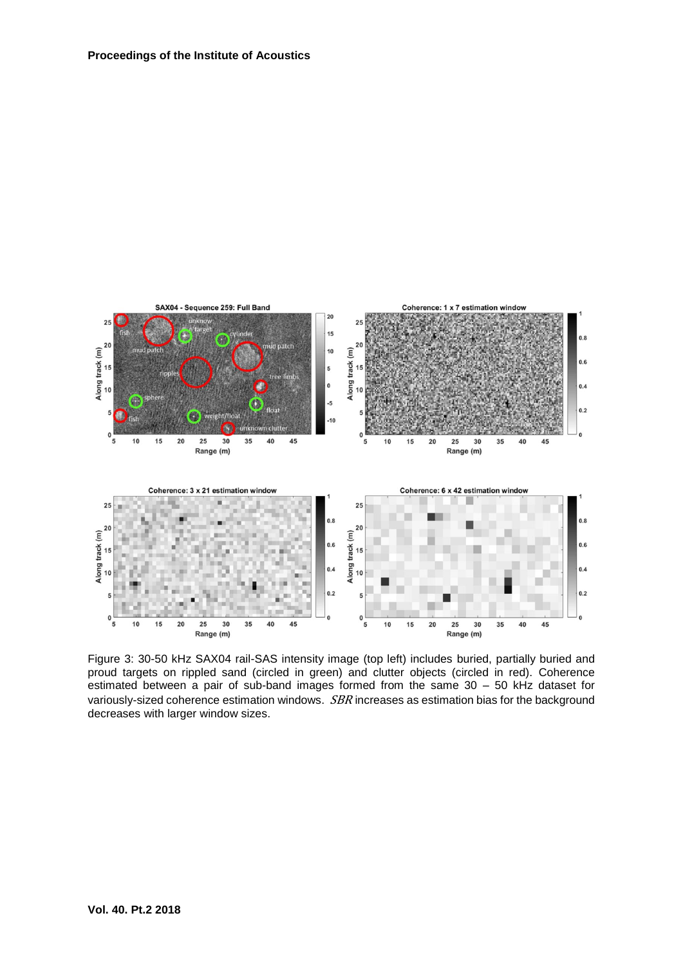

Figure 3: 30-50 kHz SAX04 rail-SAS intensity image (top left) includes buried, partially buried and proud targets on rippled sand (circled in green) and clutter objects (circled in red). Coherence estimated between a pair of sub-band images formed from the same 30 – 50 kHz dataset for variously-sized coherence estimation windows. *SBR* increases as estimation bias for the background decreases with larger window sizes.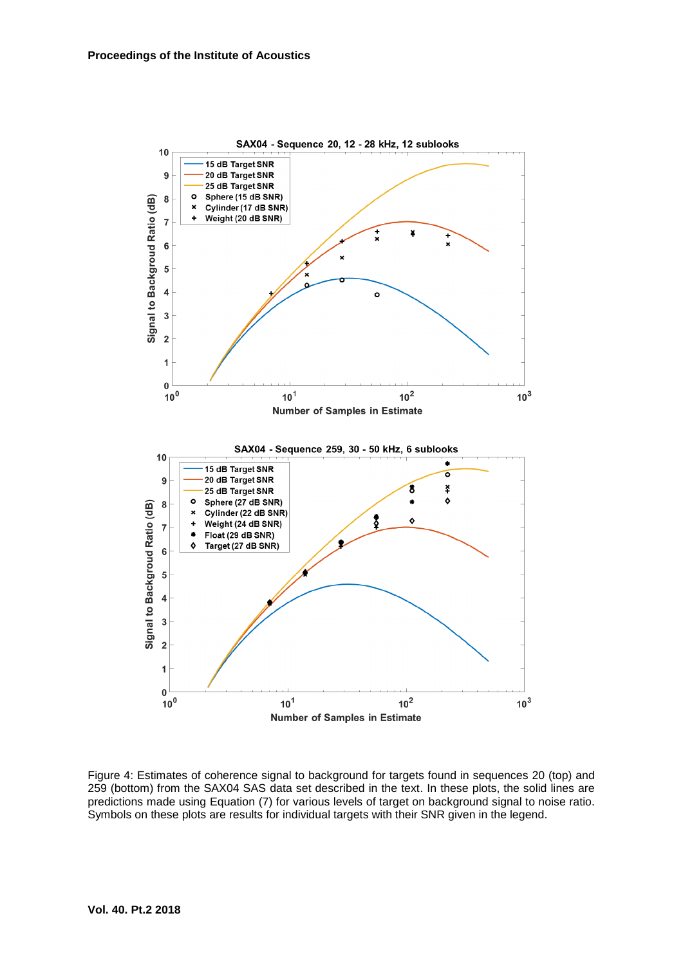

Figure 4: Estimates of coherence signal to background for targets found in sequences 20 (top) and 259 (bottom) from the SAX04 SAS data set described in the text. In these plots, the solid lines are predictions made using Equation (7) for various levels of target on background signal to noise ratio. Symbols on these plots are results for individual targets with their SNR given in the legend.